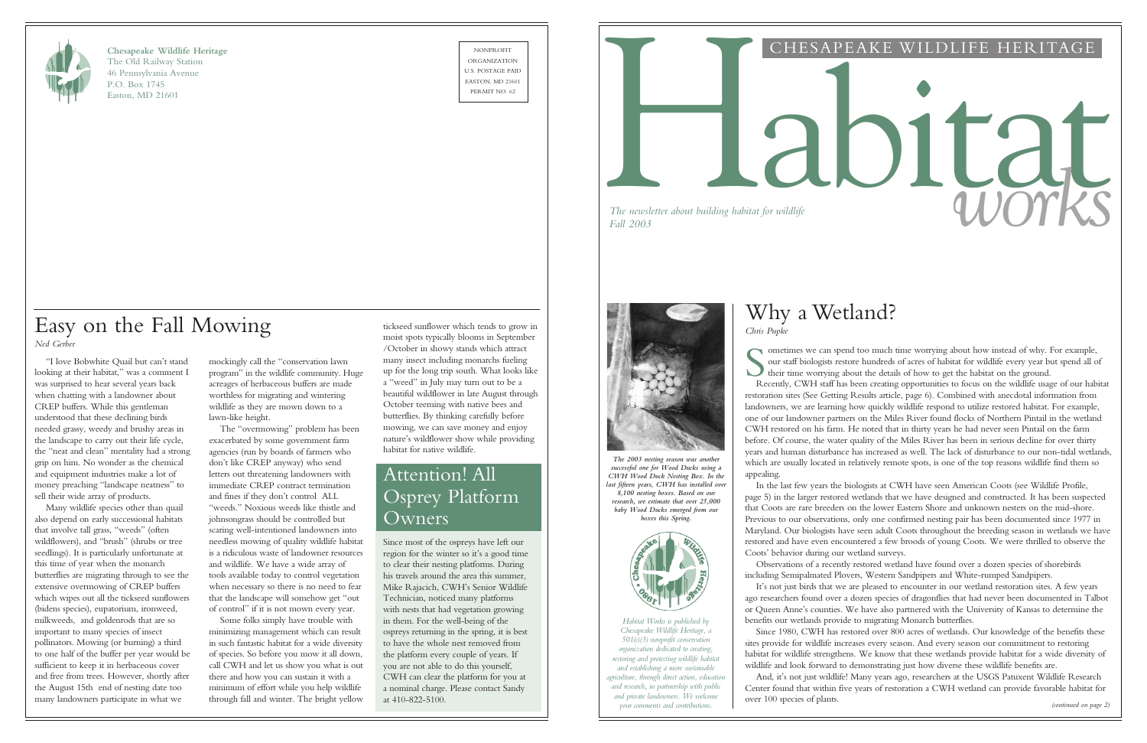

**Chesapeake Wildlife Heritage** The Old Railway Station 46 Pennsylvania Avenue P.O. Box 1745 Easton, MD 21601

NONPROFIT ORGANIZATION U.S. POSTAGE PAID EASTON, MD 21601



## CHESAPEAKE WILDLIFE HERITAGE

# *The newsletter about building habitat for wildlife* and a set of a set of a set of  $\mathcal W$

*The newsletter about building habitat for wildlife*

S<sub>R</sub> ometimes we can spend too much time worrying about how instead of why. For example, our staff biologists restore hundreds of acres of habitat for wildlife every year but spend all of their time worrying about the details of how to get the habitat on the ground.

## Why a Wetland? *Chris Pupke*

Recently, CWH staff has been creating opportunities to focus on the wildlife usage of our habitat restoration sites (See Getting Results article, page 6). Combined with anecdotal information from landowners, we are learning how quickly wildlife respond to utilize restored habitat. For example, one of our landowner partners on the Miles River found flocks of Northern Pintail in the wetland CWH restored on his farm. He noted that in thirty years he had never seen Pintail on the farm before. Of course, the water quality of the Miles River has been in serious decline for over thirty years and human disturbance has increased as well. The lack of disturbance to our non-tidal wetlands, which are usually located in relatively remote spots, is one of the top reasons wildlife find them so appealing.

In the last few years the biologists at CWH have seen American Coots (see Wildlife Profile, page 5) in the larger restored wetlands that we have designed and constructed. It has been suspected that Coots are rare breeders on the lower Eastern Shore and unknown nesters on the mid-shore. Previous to our observations, only one confirmed nesting pair has been documented since 1977 in Maryland. Our biologists have seen adult Coots throughout the breeding season in wetlands we have restored and have even encountered a few broods of young Coots. We were thrilled to observe the Coots' behavior during our wetland surveys.

Observations of a recently restored wetland have found over a dozen species of shorebirds including Semipalmated Plovers, Western Sandpipers and White-rumped Sandpipers.

It's not just birds that we are pleased to encounter in our wetland restoration sites. A few years ago researchers found over a dozen species of dragonflies that had never been documented in Talbot or Queen Anne's counties. We have also partnered with the University of Kansas to determine the benefits our wetlands provide to migrating Monarch butterflies.

Since 1980, CWH has restored over 800 acres of wetlands. Our knowledge of the benefits these sites provide for wildlife increases every season. And every season our commitment to restoring habitat for wildlife strengthens. We know that these wetlands provide habitat for a wide diversity of wildlife and look forward to demonstrating just how diverse these wildlife benefits are.

And, it's not just wildlife! Many years ago, researchers at the USGS Patuxent Wildlife Research Center found that within five years of restoration a CWH wetland can provide favorable habitat for

over 100 species of plants.

*Habitat Works is published by Chesapeake Wildlife Heritage, a 501(c)(3) nonprofit conservation organization dedicated to creating, restoring and protecting wildlife habitat and establishing a more sustainable agriculture, through direct action, education and research, in partnership with public and private landowners. We welcome your comments and contributions. (continued on page 2)*

mockingly call the "conservation lawn program" in the wildlife community. Huge acreages of herbaceous buffers are made worthless for migrating and wintering wildlife as they are mown down to a lawn-like height.

The "overmowing" problem has been exacerbated by some government farm agencies (run by boards of farmers who don't like CREP anyway) who send letters out threatening landowners with immediate CREP contract termination and fines if they don't control ALL "weeds." Noxious weeds like thistle and johnsongrass should be controlled but scaring well-intentioned landowners into needless mowing of quality wildlife habitat is a ridiculous waste of landowner resources and wildlife. We have a wide array of tools available today to control vegetation when necessary so there is no need to fear that the landscape will somehow get "out of control" if it is not mown every year.

Some folks simply have trouble with minimizing management which can result in such fantastic habitat for a wide diversity of species. So before you mow it all down, call CWH and let us show you what is out there and how you can sustain it with a minimum of effort while you help wildlife through fall and winter. The bright yellow

"I love Bobwhite Quail but can't stand looking at their habitat," was a comment I was surprised to hear several years back when chatting with a landowner about CREP buffers. While this gentleman understood that these declining birds needed grassy, weedy and brushy areas in the landscape to carry out their life cycle, the "neat and clean" mentality had a strong grip on him. No wonder as the chemical and equipment industries make a lot of money preaching "landscape neatness" to sell their wide array of products.

Many wildlife species other than quail also depend on early successional habitats that involve tall grass, "weeds" (often wildflowers), and "brush" (shrubs or tree seedlings). It is particularly unfortunate at this time of year when the monarch butterflies are migrating through to see the extensive overmowing of CREP buffers which wipes out all the tickseed sunflowers (bidens species), eupatorium, ironweed, milkweeds, and goldenrods that are so important to many species of insect pollinators. Mowing (or burning) a third to one half of the buffer per year would be sufficient to keep it in herbaceous cover and free from trees. However, shortly after the August 15th end of nesting date too many landowners participate in what we

## Easy on the Fall Mowing *Ned Gerber*

*The 2003 nesting season was another successful one for Wood Ducks using a CWH Wood Duck Nesting Box. In the last fifteen years, CWH has installed over 8,100 nesting boxes. Based on our research, we estimate that over 25,000 baby Wood Ducks emerged from our* 

*boxes this Spring.*



## Attention! All Osprey Platform Owners

Since most of the ospreys have left our region for the winter so it's a good time to clear their nesting platforms. During his travels around the area this summer, Mike Rajacich, CWH's Senior Wildlife Technician, noticed many platforms with nests that had vegetation growing in them. For the well-being of the ospreys returning in the spring, it is best to have the whole nest removed from the platform every couple of years. If you are not able to do this yourself, CWH can clear the platform for you at a nominal charge. Please contact Sandy at 410-822-5100.



tickseed sunflower which tends to grow in moist spots typically blooms in September /October in showy stands which attract many insect including monarchs fueling up for the long trip south. What looks like a "weed" in July may turn out to be a beautiful wildflower in late August through October teeming with native bees and butterflies. By thinking carefully before mowing, we can save money and enjoy nature's wildflower show while providing habitat for native wildlife.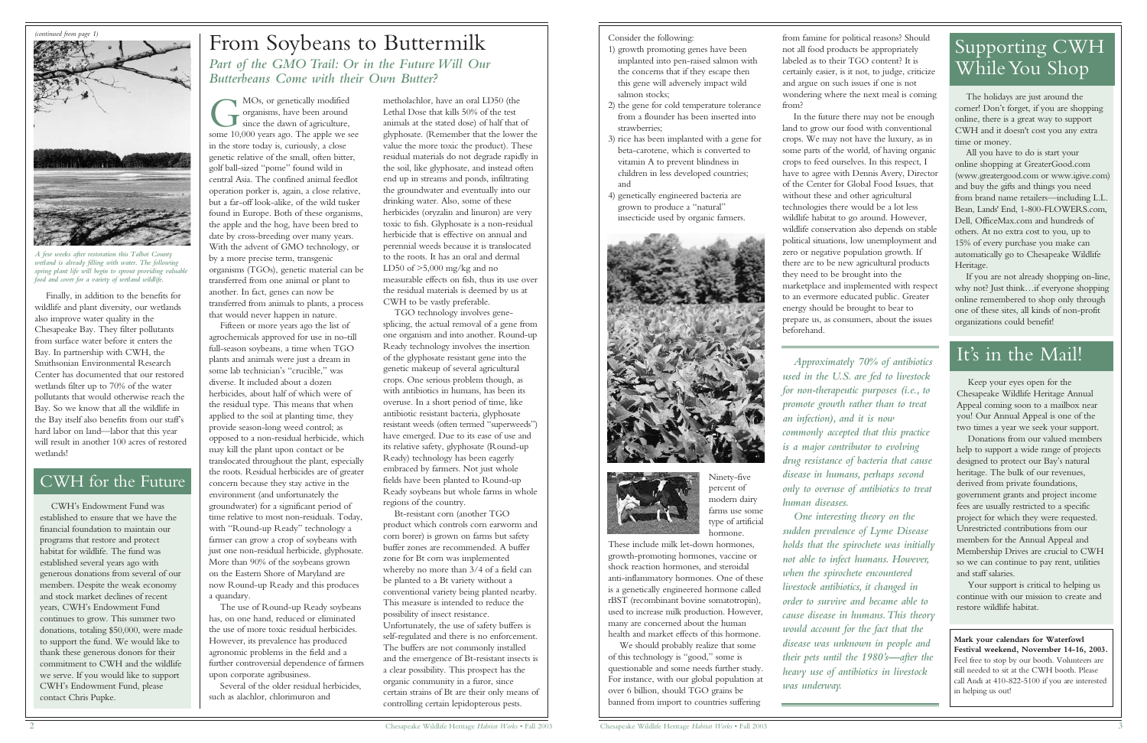Finally, in addition to the benefits for wildlife and plant diversity, our wetlands also improve water quality in the Chesapeake Bay. They filter pollutants from surface water before it enters the Bay. In partnership with CWH, the Smithsonian Environmental Research Center has documented that our restored wetlands filter up to 70% of the water pollutants that would otherwise reach the Bay. So we know that all the wildlife in the Bay itself also benefits from our staff's hard labor on land—labor that this year will result in another 100 acres of restored wetlands!

G<br>some 10 MOs, or genetically modified organisms, have been around since the dawn of agriculture, some 10,000 years ago. The apple we see in the store today is, curiously, a close genetic relative of the small, often bitter, golf ball-sized "pome" found wild in central Asia. The confined animal feedlot operation porker is, again, a close relative, but a far-off look-alike, of the wild tusker found in Europe. Both of these organisms, the apple and the hog, have been bred to date by cross-breeding over many years. With the advent of GMO technology, or by a more precise term, transgenic organisms (TGOs), genetic material can be transferred from one animal or plant to another. In fact, genes can now be transferred from animals to plants, a process that would never happen in nature.

Fifteen or more years ago the list of agrochemicals approved for use in no-till full-season soybeans, a time when TGO plants and animals were just a dream in some lab technician's "crucible," was diverse. It included about a dozen herbicides, about half of which were of the residual type. This means that when applied to the soil at planting time, they provide season-long weed control; as opposed to a non-residual herbicide, which may kill the plant upon contact or be translocated throughout the plant, especially the roots. Residual herbicides are of greater concern because they stay active in the environment (and unfortunately the groundwater) for a significant period of time relative to most non-residuals. Today, with "Round-up Ready" technology a farmer can grow a crop of soybeans with just one non-residual herbicide, glyphosate. More than 90% of the soybeans grown on the Eastern Shore of Maryland are

now Round-up Ready and this produces

a quandary. The use of Round-up Ready soybeans has, on one hand, reduced or eliminated the use of more toxic residual herbicides. However, its prevalence has produced agronomic problems in the field and a further controversial dependence of farmers upon corporate agribusiness.

Several of the older residual herbicides, such as alachlor, chlorimuron and

metholachlor, have an oral LD50 (the Lethal Dose that kills 50% of the test animals at the stated dose) of half that of glyphosate. (Remember that the lower the value the more toxic the product). These residual materials do not degrade rapidly in the soil, like glyphosate, and instead often end up in streams and ponds, infiltrating the groundwater and eventually into our drinking water. Also, some of these herbicides (oryzalin and linuron) are very toxic to fish. Glyphosate is a non-residual herbicide that is effective on annual and perennial weeds because it is translocated to the roots. It has an oral and dermal LD50 of  $>5,000$  mg/kg and no measurable effects on fish, thus its use over the residual materials is deemed by us at CWH to be vastly preferable.

TGO technology involves genesplicing, the actual removal of a gene from one organism and into another. Round-up Ready technology involves the insertion of the glyphosate resistant gene into the genetic makeup of several agricultural crops. One serious problem though, as with antibiotics in humans, has been its overuse. In a short period of time, like antibiotic resistant bacteria, glyphosate resistant weeds (often termed "superweeds") have emerged. Due to its ease of use and its relative safety, glyphosate (Round-up Ready) technology has been eagerly embraced by farmers. Not just whole fields have been planted to Round-up Ready soybeans but whole farms in whole regions of the country.

Bt-resistant corn (another TGO product which controls corn earworm and corn borer) is grown on farms but safety buffer zones are recommended. A buffer zone for Bt corn was implemented whereby no more than 3/4 of a field can be planted to a Bt variety without a conventional variety being planted nearby. This measure is intended to reduce the possibility of insect resistance. Unfortunately, the use of safety buffers is self-regulated and there is no enforcement. The buffers are not commonly installed and the emergence of Bt-resistant insects is a clear possibility. This prospect has the organic community in a furor, since certain strains of Bt are their only means of controlling certain lepidopterous pests.

# From Soybeans to Buttermilk

*Part of the GMO Trail: Or in the Future Will Our Butterbeans Come with their Own Butter?*

#### Consider the following:

- 1) growth promoting genes have been implanted into pen-raised salmon with the concerns that if they escape then this gene will adversely impact wild salmon stocks;
- 2) the gene for cold temperature tolerance from a flounder has been inserted into strawberries;
- 3) rice has been implanted with a gene for beta-carotene, which is converted to vitamin A to prevent blindness in children in less developed countries; and
- 4) genetically engineered bacteria are grown to produce a "natural" insecticide used by organic farmers.





Ninety-five percent of modern dairy farms use some type of artificial hormone.

These include milk let-down hormones, growth-promoting hormones, vaccine or shock reaction hormones, and steroidal anti-inflammatory hormones. One of these is a genetically engineered hormone called rBST (recombinant bovine somatotropin), used to increase milk production. However, many are concerned about the human health and market effects of this hormone.

We should probably realize that some of this technology is "good," some is questionable and some needs further study. For instance, with our global population at over 6 billion, should TGO grains be banned from import to countries suffering

from famine for political reasons? Should not all food products be appropriately labeled as to their TGO content? It is certainly easier, is it not, to judge, criticize and argue on such issues if one is not wondering where the next meal is coming

from?

In the future there may not be enough land to grow our food with conventional crops. We may not have the luxury, as in some parts of the world, of having organic crops to feed ourselves. In this respect, I have to agree with Dennis Avery, Director of the Center for Global Food Issues, that without these and other agricultural technologies there would be a lot less wildlife habitat to go around. However, wildlife conservation also depends on stable political situations, low unemployment and zero or negative population growth. If there are to be new agricultural products they need to be brought into the marketplace and implemented with respect to an evermore educated public. Greater energy should be brought to bear to prepare us, as consumers, about the issues beforehand.



*A few weeks after restoration this Talbot County wetland is already filling with water. The following spring plant life will begin to sprout providing valuable food and cover for a variety of wetland wildlife.*

*Approximately 70% of antibiotics used in the U.S. are fed to livestock for non-therapeutic purposes (i.e., to promote growth rather than to treat an infection), and it is now commonly accepted that this practice is a major contributor to evolving drug resistance of bacteria that cause disease in humans, perhaps second only to overuse of antibiotics to treat human diseases.*

*One interesting theory on the sudden prevalence of Lyme Disease holds that the spirochete was initially not able to infect humans. However, when the spirochete encountered livestock antibiotics, it changed in order to survive and became able to cause disease in humans.This theory would account for the fact that the disease was unknown in people and their pets until the 1980's—after the heavy use of antibiotics in livestock*

*was underway.*

## It's in the Mail!

Keep your eyes open for the Chesapeake Wildlife Heritage Annual Appeal coming soon to a mailbox near you! Our Annual Appeal is one of the two times a year we seek your support.

Donations from our valued members help to support a wide range of projects designed to protect our Bay's natural heritage. The bulk of our revenues, derived from private foundations, government grants and project income fees are usually restricted to a specific project for which they were requested. Unrestricted contributions from our members for the Annual Appeal and Membership Drives are crucial to CWH so we can continue to pay rent, utilities and staff salaries.

Your support is critical to helping us continue with our mission to create and restore wildlife habitat.

## CWH for the Future

CWH's Endowment Fund was established to ensure that we have the financial foundation to maintain our programs that restore and protect habitat for wildlife. The fund was established several years ago with generous donations from several of our members. Despite the weak economy and stock market declines of recent years, CWH's Endowment Fund continues to grow. This summer two donations, totaling \$50,000, were made to support the fund. We would like to thank these generous donors for their commitment to CWH and the wildlife we serve. If you would like to support CWH's Endowment Fund, please contact Chris Pupke.

**Mark your calendars for Waterfowl Festival weekend, November 14-16, 2003.** Feel free to stop by our booth. Volunteers are still needed to sit at the CWH booth. Please call Andi at 410-822-5100 if you are interested in helping us out!

## Supporting CWH While You Shop

The holidays are just around the corner! Don't forget, if you are shopping online, there is a great way to support CWH and it doesn't cost you any extra time or money.

All you have to do is start your online shopping at GreaterGood.com (www.greatergood.com or www.igive.com) and buy the gifts and things you need from brand name retailers—including L.L. Bean, Lands' End, 1-800-FLOWERS.com, Dell, OfficeMax.com and hundreds of others. At no extra cost to you, up to 15% of every purchase you make can automatically go to Chesapeake Wildlife Heritage.

If you are not already shopping on-line, why not? Just think…if everyone shopping online remembered to shop only through one of these sites, all kinds of non-profit organizations could benefit!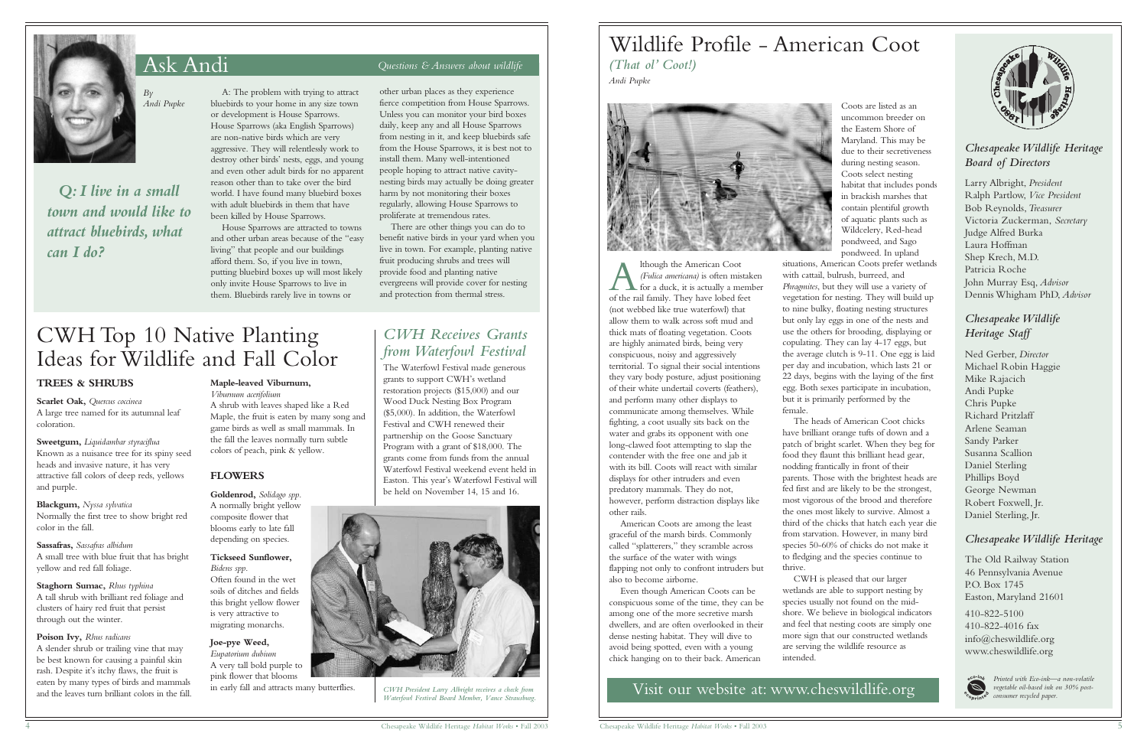## Ask Andi *Questions & Answers about wildlife*



*By Andi Pupke*

*Q: I live in a small town and would like to attract bluebirds, what can I do?*

A: The problem with trying to attract bluebirds to your home in any size town or development is House Sparrows. House Sparrows (aka English Sparrows) are non-native birds which are very aggressive. They will relentlessly work to destroy other birds' nests, eggs, and young and even other adult birds for no apparent reason other than to take over the bird world. I have found many bluebird boxes with adult bluebirds in them that have been killed by House Sparrows.

House Sparrows are attracted to towns and other urban areas because of the "easy living" that people and our buildings afford them. So, if you live in town, putting bluebird boxes up will most likely only invite House Sparrows to live in them. Bluebirds rarely live in towns or

other urban places as they experience fierce competition from House Sparrows. Unless you can monitor your bird boxes daily, keep any and all House Sparrows from nesting in it, and keep bluebirds safe from the House Sparrows, it is best not to install them. Many well-intentioned people hoping to attract native cavitynesting birds may actually be doing greater harm by not monitoring their boxes regularly, allowing House Sparrows to proliferate at tremendous rates.

There are other things you can do to benefit native birds in your yard when you live in town. For example, planting native fruit producing shrubs and trees will provide food and planting native evergreens will provide cover for nesting and protection from thermal stress.

### *Chesapeake Wildlife Heritage Board of Directors*

Larry Albright, *President* Ralph Partlow, *Vice President* Bob Reynolds,*Treasurer* Victoria Zuckerman, *Secretary* Judge Alfred Burka Laura Hoffman Shep Krech, M.D. Patricia Roche John Murray Esq, *Advisor* Dennis Whigham PhD, *Advisor*

## *Chesapeake Wildlife Heritage Staff*

Ned Gerber, *Director* Michael Robin Haggie Mike Rajacich Andi Pupke Chris Pupke Richard Pritzlaff Arlene Seaman Sandy Parker Susanna Scallion Daniel Sterling Phillips Boyd George Newman Robert Foxwell, Jr. Daniel Sterling, Jr.

#### *Chesapeake Wildlife Heritage*

The Old Railway Station 46 Pennsylvania Avenue P.O. Box 1745 Easton, Maryland 21601

410-822-5100 410-822-4016 fax info@cheswildlife.org www.cheswildlife.org



Visit our website at: www.cheswildlife.org

#### **TREES & SHRUBS**

**Scarlet Oak,** *Quercus coccinea* A large tree named for its autumnal leaf coloration.

**Sweetgum,** *Liquidambar styraciflua* Known as a nuisance tree for its spiny seed heads and invasive nature, it has very attractive fall colors of deep reds, yellows and purple.

**Blackgum,** *Nyssa sylvatica* Normally the first tree to show bright red color in the fall.

**Sassafras,** *Sassafras albidum* A small tree with blue fruit that has bright yellow and red fall foliage.

**Staghorn Sumac,** *Rhus typhina* A tall shrub with brilliant red foliage and clusters of hairy red fruit that persist through out the winter.

**Poison Ivy,** *Rhus radicans* A slender shrub or trailing vine that may be best known for causing a painful skin rash. Despite it's itchy flaws, the fruit is eaten by many types of birds and mammals and the leaves turn brilliant colors in the fall.

**A** *(Fulica americana)* is often mistal<br>for a duck, it is actually a mem<br>of the rail family. They have lobed feet lthough the American Coot *(Fulica americana)* is often mistaken for a duck, it is actually a member (not webbed like true waterfowl) that allow them to walk across soft mud and thick mats of floating vegetation. Coots are highly animated birds, being very conspicuous, noisy and aggressively territorial. To signal their social intentions they vary body posture, adjust positioning of their white undertail coverts (feathers), and perform many other displays to communicate among themselves. While fighting, a coot usually sits back on the water and grabs its opponent with one long-clawed foot attempting to slap the contender with the free one and jab it with its bill. Coots will react with similar displays for other intruders and even predatory mammals. They do not, however, perform distraction displays like other rails.

#### **Maple-leaved Viburnum,**

*Viburnum acerifolium* A shrub with leaves shaped like a Red Maple, the fruit is eaten by many song and game birds as well as small mammals. In the fall the leaves normally turn subtle colors of peach, pink & yellow.

#### **FLOWERS**

**Goldenrod,** *Solidago spp.* A normally bright yellow composite flower that blooms early to late fall depending on species.

**Tickseed Sunflower,** *Bidens spp.*

Often found in the wet soils of ditches and fields this bright yellow flower is very attractive to migrating monarchs.

**Joe-pye Weed,** *Eupatorium dubium* A very tall bold purple to pink flower that blooms in early fall and attracts many butterflies.

CWH Top 10 Native Planting Ideas for Wildlife and Fall Color

Coots are listed as an uncommon breeder on the Eastern Shore of Maryland. This may be due to their secretiveness during nesting season. Coots select nesting habitat that includes ponds in brackish marshes that contain plentiful growth of aquatic plants such as Wildcelery, Red-head pondweed, and Sago pondweed. In upland situations, American Coots prefer wetlands with cattail, bulrush, burreed, and *Phragmites*, but they will use a variety of vegetation for nesting. They will build up to nine bulky, floating nesting structures but only lay eggs in one of the nests and use the others for brooding, displaying or copulating. They can lay 4-17 eggs, but the average clutch is 9-11. One egg is laid per day and incubation, which lasts 21 or 22 days, begins with the laying of the first egg. Both sexes participate in incubation, but it is primarily performed by the female.

The heads of American Coot chicks have brilliant orange tufts of down and a patch of bright scarlet. When they beg for food they flaunt this brilliant head gear, nodding frantically in front of their parents. Those with the brightest heads are fed first and are likely to be the strongest, most vigorous of the brood and therefore the ones most likely to survive. Almost a third of the chicks that hatch each year die from starvation. However, in many bird species 50-60% of chicks do not make it to fledging and the species continue to thrive.

CWH is pleased that our larger wetlands are able to support nesting by species usually not found on the midshore. We believe in biological indicators and feel that nesting coots are simply one more sign that our constructed wetlands are serving the wildlife resource as



intended.

American Coots are among the least graceful of the marsh birds. Commonly called "splatterers," they scramble across the surface of the water with wings flapping not only to confront intruders but also to become airborne.

Even though American Coots can be conspicuous some of the time, they can be among one of the more secretive marsh dwellers, and are often overlooked in their dense nesting habitat. They will dive to avoid being spotted, even with a young chick hanging on to their back. American

## Wildlife Profile - American Coot *(That ol' Coot!) Andi Pupke*



## *CWH Receives Grants from Waterfowl Festival*

The Waterfowl Festival made generous grants to support CWH's wetland restoration projects (\$15,000) and our Wood Duck Nesting Box Program (\$5,000). In addition, the Waterfowl Festival and CWH renewed their partnership on the Goose Sanctuary Program with a grant of \$18,000. The grants come from funds from the annual Waterfowl Festival weekend event held in Easton. This year's Waterfowl Festival will be held on November 14, 15 and 16.



*CWH President Larry Albright receives a check from Waterfowl Festival Board Member, Vance Strausburg.* 

*Printed with Eco-ink—a non-volatile vegetable oil-based ink on 30% postconsumer recycled paper.*